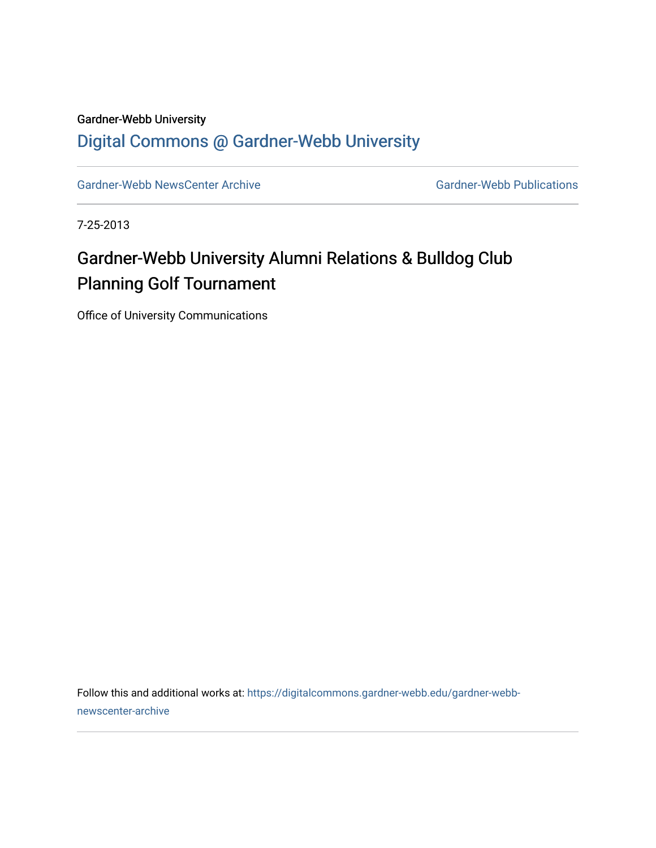## Gardner-Webb University [Digital Commons @ Gardner-Webb University](https://digitalcommons.gardner-webb.edu/)

[Gardner-Webb NewsCenter Archive](https://digitalcommons.gardner-webb.edu/gardner-webb-newscenter-archive) Gardner-Webb Publications

7-25-2013

## Gardner-Webb University Alumni Relations & Bulldog Club Planning Golf Tournament

Office of University Communications

Follow this and additional works at: [https://digitalcommons.gardner-webb.edu/gardner-webb](https://digitalcommons.gardner-webb.edu/gardner-webb-newscenter-archive?utm_source=digitalcommons.gardner-webb.edu%2Fgardner-webb-newscenter-archive%2F1641&utm_medium=PDF&utm_campaign=PDFCoverPages)[newscenter-archive](https://digitalcommons.gardner-webb.edu/gardner-webb-newscenter-archive?utm_source=digitalcommons.gardner-webb.edu%2Fgardner-webb-newscenter-archive%2F1641&utm_medium=PDF&utm_campaign=PDFCoverPages)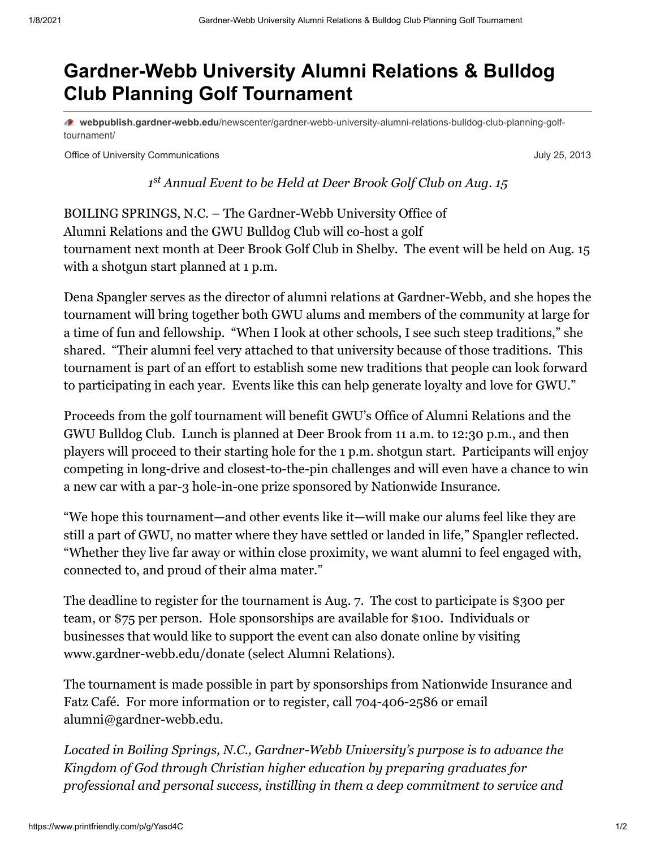## **Gardner-Webb University Alumni Relations & Bulldog Club Planning Golf Tournament**

**webpublish.gardner-webb.edu**[/newscenter/gardner-webb-university-alumni-relations-bulldog-club-planning-golf](https://webpublish.gardner-webb.edu/newscenter/gardner-webb-university-alumni-relations-bulldog-club-planning-golf-tournament/)tournament/

Office of University Communications **Communications** July 25, 2013

*1 Annual Event to be Held at Deer Brook Golf Club on Aug. 15 st*

BOILING SPRINGS, N.C. – The Gardner-Webb University Office of Alumni Relations and the GWU Bulldog Club will co-host a golf tournament next month at Deer Brook Golf Club in Shelby. The event will be held on Aug. 15 with a shotgun start planned at 1 p.m.

Dena Spangler serves as the director of alumni relations at Gardner-Webb, and she hopes the tournament will bring together both GWU alums and members of the community at large for a time of fun and fellowship. "When I look at other schools, I see such steep traditions," she shared. "Their alumni feel very attached to that university because of those traditions. This tournament is part of an effort to establish some new traditions that people can look forward to participating in each year. Events like this can help generate loyalty and love for GWU."

Proceeds from the golf tournament will benefit GWU's Office of Alumni Relations and the GWU Bulldog Club. Lunch is planned at Deer Brook from 11 a.m. to 12:30 p.m., and then players will proceed to their starting hole for the 1 p.m. shotgun start. Participants will enjoy competing in long-drive and closest-to-the-pin challenges and will even have a chance to win a new car with a par-3 hole-in-one prize sponsored by Nationwide Insurance.

"We hope this tournament—and other events like it—will make our alums feel like they are still a part of GWU, no matter where they have settled or landed in life," Spangler reflected. "Whether they live far away or within close proximity, we want alumni to feel engaged with, connected to, and proud of their alma mater."

The deadline to register for the tournament is Aug. 7. The cost to participate is \$300 per team, or \$75 per person. Hole sponsorships are available for \$100. Individuals or businesses that would like to support the event can also donate online by visiting www.gardner-webb.edu/donate (select Alumni Relations).

The tournament is made possible in part by sponsorships from Nationwide Insurance and Fatz Café. For more information or to register, call 704-406-2586 or email [alumni@gardner-webb.edu.](mailto:alumni@gardner-webb.edu)

*Located in Boiling Springs, N.C., Gardner-Webb University's purpose is to advance the Kingdom of God through Christian higher education by preparing graduates for professional and personal success, instilling in them a deep commitment to service and*